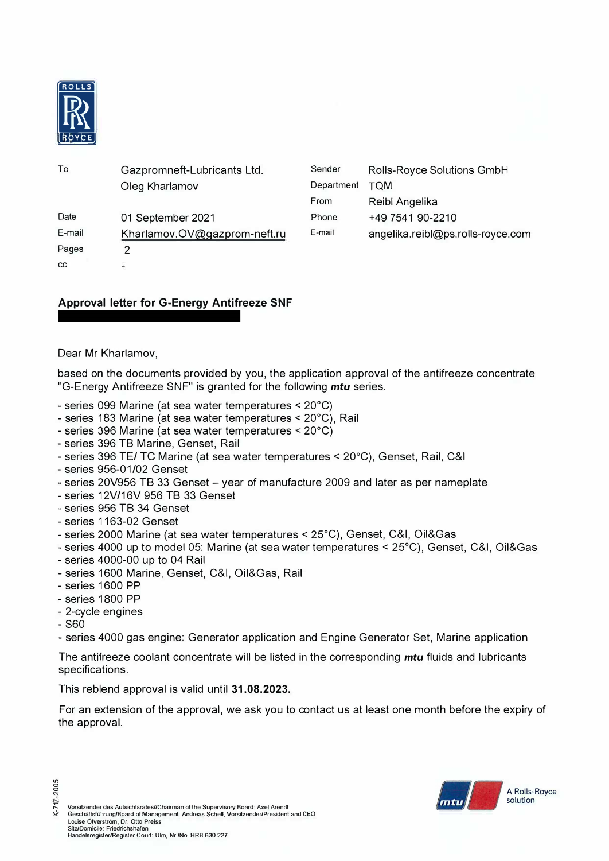

| To     | Gazpromneft-Lubricants Ltd.  | Sender     | Rolls-Royce Solutions GmbH        |
|--------|------------------------------|------------|-----------------------------------|
|        | Oleg Kharlamov               | Department | <b>TQM</b>                        |
|        |                              | From       | Reibl Angelika                    |
| Date   | 01 September 2021            | Phone      | +49 7541 90-2210                  |
| E-mail | Kharlamov.OV@gazprom-neft.ru | E-mail     | angelika.reibl@ps.rolls-royce.com |
| Pages  | っ                            |            |                                   |
| CC     | ÷                            |            |                                   |

## **Approval letter for G-Energy Antifreeze SNF**

Dear Mr Kharlamov,

based on the documents provided by you, the application approval of the antifreeze concentrate "G-Energy Antifreeze SNF" is granted for the following *mtu* series.

- series 099 Marine (at sea water temperatures < 20°C)
- series 183 Marine (at sea water temperatures < 20°C), Rail
- series 396 Marine (at sea water temperatures < 20°C)
- series 396 TB Marine, Genset, Rail
- series 396 TE/ TC Marine (at sea water temperatures < 20°C), Genset, Rail, C&I
- series 956-01/02 Genset
- series 20V956 TB 33 Genset year of manufacture 2009 and later as per nameplate
- series 12V/16V 956 TB 33 Genset
- series 956 TB 34 Genset
- series 1163-02 Genset
- series 2000 Marine (at sea water temperatures < 25°C), Genset, C&I, Oil&Gas
- series 4000 up to model 05: Marine (at sea water temperatures < 25°C), Genset, C&I, Oil&Gas
- series 4000-00 up to 04 Rail
- series 1600 Marine, Genset, C&I, Oil&Gas, Rail
- series 1600 PP
- series 1800 PP
- 2-cycle engines
- $-$  S60
- series 4000 gas engine: Generator application and Engine Generator Set, Marine application

The antifreeze coolant concentrate will be listed in the corresponding *mtu* fluids and lubricants specifications.

This reblend approval is valid until 31.08.2023.

For an extension of the approval, we ask you to contact us at least one month before the expiry of the approval.



K-717-2005